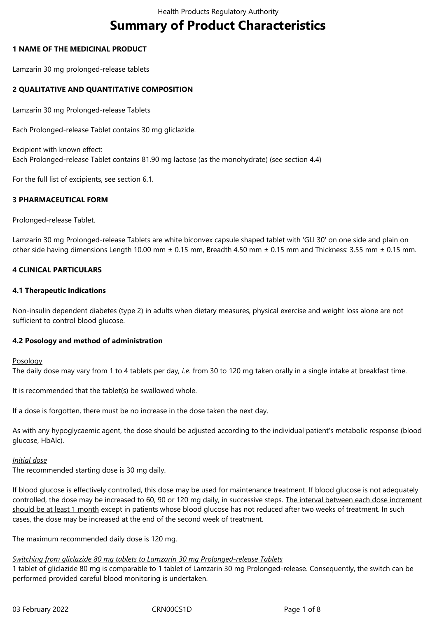# **Summary of Product Characteristics**

#### **1 NAME OF THE MEDICINAL PRODUCT**

Lamzarin 30 mg prolonged-release tablets

#### **2 QUALITATIVE AND QUANTITATIVE COMPOSITION**

Lamzarin 30 mg Prolonged-release Tablets

Each Prolonged-release Tablet contains 30 mg gliclazide.

Excipient with known effect: Each Prolonged-release Tablet contains 81.90 mg lactose (as the monohydrate) (see section 4.4)

For the full list of excipients, see section 6.1.

#### **3 PHARMACEUTICAL FORM**

Prolonged-release Tablet.

Lamzarin 30 mg Prolonged-release Tablets are white biconvex capsule shaped tablet with 'GLI 30' on one side and plain on other side having dimensions Length 10.00 mm ± 0.15 mm, Breadth 4.50 mm ± 0.15 mm and Thickness: 3.55 mm ± 0.15 mm.

#### **4 CLINICAL PARTICULARS**

#### **4.1 Therapeutic Indications**

Non-insulin dependent diabetes (type 2) in adults when dietary measures, physical exercise and weight loss alone are not sufficient to control blood glucose.

#### **4.2 Posology and method of administration**

**Posology** 

The daily dose may vary from 1 to 4 tablets per day, *i.e*. from 30 to 120 mg taken orally in a single intake at breakfast time.

It is recommended that the tablet(s) be swallowed whole.

If a dose is forgotten, there must be no increase in the dose taken the next day.

As with any hypoglycaemic agent, the dose should be adjusted according to the individual patient's metabolic response (blood glucose, HbAlc).

#### *Initial dose*

The recommended starting dose is 30 mg daily.

If blood glucose is effectively controlled, this dose may be used for maintenance treatment. If blood glucose is not adequately controlled, the dose may be increased to 60, 90 or 120 mg daily, in successive steps. The interval between each dose increment should be at least 1 month except in patients whose blood glucose has not reduced after two weeks of treatment. In such cases, the dose may be increased at the end of the second week of treatment.

The maximum recommended daily dose is 120 mg.

#### *Switching from gliclazide 80 mg tablets to Lamzarin 30 mg Prolonged-release Tablets*

1 tablet of gliclazide 80 mg is comparable to 1 tablet of Lamzarin 30 mg Prolonged-release. Consequently, the switch can be performed provided careful blood monitoring is undertaken.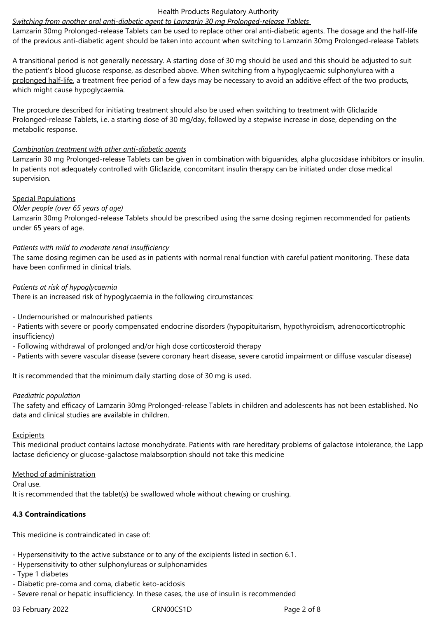#### Health Products Regulatory Authority

#### *Switching from another oral anti-diabetic agent to Lamzarin 30 mg Prolonged-release Tablets*

Lamzarin 30mg Prolonged-release Tablets can be used to replace other oral anti-diabetic agents. The dosage and the half-life of the previous anti-diabetic agent should be taken into account when switching to Lamzarin 30mg Prolonged-release Tablets

A transitional period is not generally necessary. A starting dose of 30 mg should be used and this should be adjusted to suit the patient's blood glucose response, as described above. When switching from a hypoglycaemic sulphonylurea with a prolonged half-life, a treatment free period of a few days may be necessary to avoid an additive effect of the two products, which might cause hypoglycaemia.

The procedure described for initiating treatment should also be used when switching to treatment with Gliclazide Prolonged-release Tablets, i.e. a starting dose of 30 mg/day, followed by a stepwise increase in dose, depending on the metabolic response.

#### *Combination treatment with other anti-diabetic agents*

Lamzarin 30 mg Prolonged-release Tablets can be given in combination with biguanides, alpha glucosidase inhibitors or insulin. In patients not adequately controlled with Gliclazide, concomitant insulin therapy can be initiated under close medical supervision.

#### Special Populations

#### *Older people (over 65 years of age)*

Lamzarin 30mg Prolonged-release Tablets should be prescribed using the same dosing regimen recommended for patients under 65 years of age.

#### *Patients with mild to moderate renal insufficiency*

The same dosing regimen can be used as in patients with normal renal function with careful patient monitoring. These data have been confirmed in clinical trials.

#### *Patients at risk of hypoglycaemia*

There is an increased risk of hypoglycaemia in the following circumstances:

- Undernourished or malnourished patients

- Patients with severe or poorly compensated endocrine disorders (hypopituitarism, hypothyroidism, adrenocorticotrophic insufficiency)

- Following withdrawal of prolonged and/or high dose corticosteroid therapy

- Patients with severe vascular disease (severe coronary heart disease, severe carotid impairment or diffuse vascular disease)

It is recommended that the minimum daily starting dose of 30 mg is used.

#### *Paediatric population*

The safety and efficacy of Lamzarin 30mg Prolonged-release Tablets in children and adolescents has not been established. No data and clinical studies are available in children.

#### Excipients

This medicinal product contains lactose monohydrate. Patients with rare hereditary problems of galactose intolerance, the Lapp lactase deficiency or glucose-galactose malabsorption should not take this medicine

#### Method of administration

Oral use.

It is recommended that the tablet(s) be swallowed whole without chewing or crushing.

#### **4.3 Contraindications**

This medicine is contraindicated in case of:

- Hypersensitivity to the active substance or to any of the excipients listed in section 6.1.
- Hypersensitivity to other sulphonylureas or sulphonamides
- Type 1 diabetes
- Diabetic pre-coma and coma, diabetic keto-acidosis
- Severe renal or hepatic insufficiency. In these cases, the use of insulin is recommended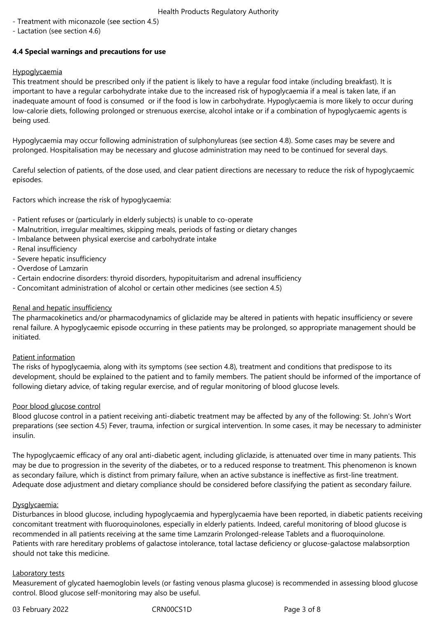- Health Products Regulatory Authority
- Treatment with miconazole (see section 4.5)
- Lactation (see section 4.6)

# **4.4 Special warnings and precautions for use**

## **Hypoglycaemia**

This treatment should be prescribed only if the patient is likely to have a regular food intake (including breakfast). It is important to have a regular carbohydrate intake due to the increased risk of hypoglycaemia if a meal is taken late, if an inadequate amount of food is consumed or if the food is low in carbohydrate. Hypoglycaemia is more likely to occur during low-calorie diets, following prolonged or strenuous exercise, alcohol intake or if a combination of hypoglycaemic agents is being used.

Hypoglycaemia may occur following administration of sulphonylureas (see section 4.8). Some cases may be severe and prolonged. Hospitalisation may be necessary and glucose administration may need to be continued for several days.

Careful selection of patients, of the dose used, and clear patient directions are necessary to reduce the risk of hypoglycaemic episodes.

Factors which increase the risk of hypoglycaemia:

- Patient refuses or (particularly in elderly subjects) is unable to co-operate
- Malnutrition, irregular mealtimes, skipping meals, periods of fasting or dietary changes
- Imbalance between physical exercise and carbohydrate intake
- Renal insufficiency
- Severe hepatic insufficiency
- Overdose of Lamzarin
- Certain endocrine disorders: thyroid disorders, hypopituitarism and adrenal insufficiency
- Concomitant administration of alcohol or certain other medicines (see section 4.5)

#### Renal and hepatic insufficiency

The pharmacokinetics and/or pharmacodynamics of gliclazide may be altered in patients with hepatic insufficiency or severe renal failure. A hypoglycaemic episode occurring in these patients may be prolonged, so appropriate management should be initiated.

#### Patient information

The risks of hypoglycaemia, along with its symptoms (see section 4.8), treatment and conditions that predispose to its development, should be explained to the patient and to family members. The patient should be informed of the importance of following dietary advice, of taking regular exercise, and of regular monitoring of blood glucose levels.

#### Poor blood glucose control

Blood glucose control in a patient receiving anti-diabetic treatment may be affected by any of the following: St. John's Wort preparations (see section 4.5) Fever, trauma, infection or surgical intervention. In some cases, it may be necessary to administer insulin.

The hypoglycaemic efficacy of any oral anti-diabetic agent, including gliclazide, is attenuated over time in many patients. This may be due to progression in the severity of the diabetes, or to a reduced response to treatment. This phenomenon is known as secondary failure, which is distinct from primary failure, when an active substance is ineffective as first-line treatment. Adequate dose adjustment and dietary compliance should be considered before classifying the patient as secondary failure.

#### Dysglycaemia:

Disturbances in blood glucose, including hypoglycaemia and hyperglycaemia have been reported, in diabetic patients receiving concomitant treatment with fluoroquinolones, especially in elderly patients. Indeed, careful monitoring of blood glucose is recommended in all patients receiving at the same time Lamzarin Prolonged-release Tablets and a fluoroquinolone. Patients with rare hereditary problems of galactose intolerance, total lactase deficiency or glucose-galactose malabsorption should not take this medicine.

#### Laboratory tests

Measurement of glycated haemoglobin levels (or fasting venous plasma glucose) is recommended in assessing blood glucose control. Blood glucose self-monitoring may also be useful.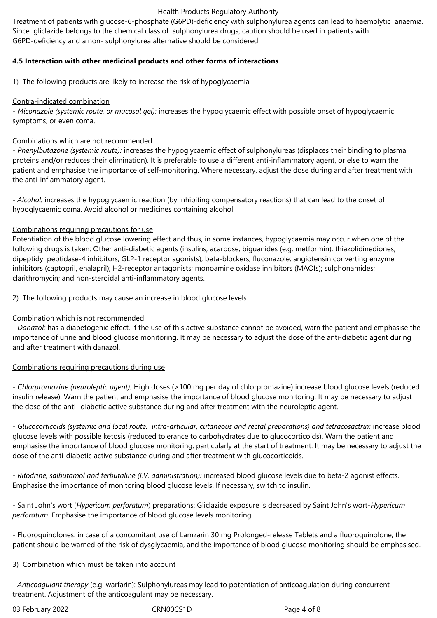#### Health Products Regulatory Authority

Treatment of patients with glucose-6-phosphate (G6PD)-deficiency with sulphonylurea agents can lead to haemolytic anaemia. Since gliclazide belongs to the chemical class of sulphonylurea drugs, caution should be used in patients with G6PD-deficiency and a non- sulphonylurea alternative should be considered.

#### **4.5 Interaction with other medicinal products and other forms of interactions**

1) The following products are likely to increase the risk of hypoglycaemia

#### Contra-indicated combination

*- Miconazole (systemic route, or mucosal gel):* increases the hypoglycaemic effect with possible onset of hypoglycaemic symptoms, or even coma.

#### Combinations which are not recommended

*- Phenylbutazone (systemic route):* increases the hypoglycaemic effect of sulphonylureas (displaces their binding to plasma proteins and/or reduces their elimination). It is preferable to use a different anti-inflammatory agent, or else to warn the patient and emphasise the importance of self-monitoring. Where necessary, adjust the dose during and after treatment with the anti-inflammatory agent.

*- Alcohol:* increases the hypoglycaemic reaction (by inhibiting compensatory reactions) that can lead to the onset of hypoglycaemic coma. Avoid alcohol or medicines containing alcohol.

#### Combinations requiring precautions for use

Potentiation of the blood glucose lowering effect and thus, in some instances, hypoglycaemia may occur when one of the following drugs is taken: Other anti-diabetic agents (insulins, acarbose, biguanides (e.g. metformin), thiazolidinediones, dipeptidyl peptidase-4 inhibitors, GLP-1 receptor agonists); beta-blockers; fluconazole; angiotensin converting enzyme inhibitors (captopril, enalapril); H2-receptor antagonists; monoamine oxidase inhibitors (MAOIs); sulphonamides; clarithromycin; and non-steroidal anti-inflammatory agents.

2) The following products may cause an increase in blood glucose levels

#### Combination which is not recommended

*- Danazol:* has a diabetogenic effect. If the use of this active substance cannot be avoided, warn the patient and emphasise the importance of urine and blood glucose monitoring. It may be necessary to adjust the dose of the anti-diabetic agent during and after treatment with danazol.

#### Combinations requiring precautions during use

*- Chlorpromazine (neuroleptic agent):* High doses (>100 mg per day of chlorpromazine) increase blood glucose levels (reduced insulin release). Warn the patient and emphasise the importance of blood glucose monitoring. It may be necessary to adjust the dose of the anti- diabetic active substance during and after treatment with the neuroleptic agent.

*- Glucocorticoids (systemic and local route: intra-articular, cutaneous and rectal preparations) and tetracosactrin:* increase blood glucose levels with possible ketosis (reduced tolerance to carbohydrates due to glucocorticoids). Warn the patient and emphasise the importance of blood glucose monitoring, particularly at the start of treatment. It may be necessary to adjust the dose of the anti-diabetic active substance during and after treatment with glucocorticoids.

*- Ritodrine, salbutamol and terbutaline (I.V. administration):* increased blood glucose levels due to beta-2 agonist effects. Emphasise the importance of monitoring blood glucose levels. If necessary, switch to insulin.

- Saint John's wort (*Hypericum perforatum*) preparations: Gliclazide exposure is decreased by Saint John's wort-*Hypericum perforatum*. Emphasise the importance of blood glucose levels monitoring

- Fluoroquinolones: in case of a concomitant use of Lamzarin 30 mg Prolonged-release Tablets and a fluoroquinolone, the patient should be warned of the risk of dysglycaemia, and the importance of blood glucose monitoring should be emphasised.

3) Combination which must be taken into account

*- Anticoagulant therapy* (e.g. warfarin): Sulphonylureas may lead to potentiation of anticoagulation during concurrent treatment. Adjustment of the anticoagulant may be necessary.

03 February 2022 CRN00CS1D Page 4 of 8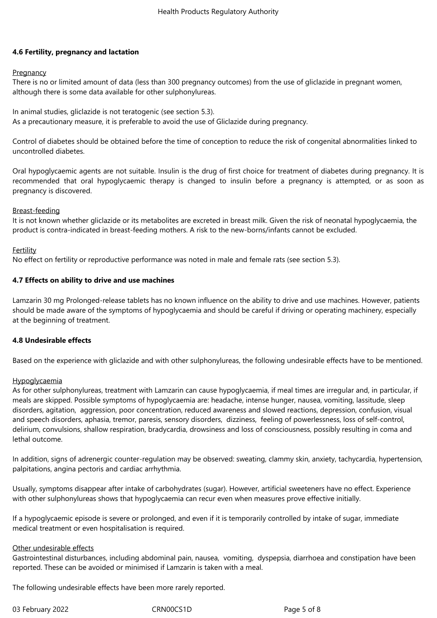#### **4.6 Fertility, pregnancy and lactation**

#### **Pregnancy**

There is no or limited amount of data (less than 300 pregnancy outcomes) from the use of gliclazide in pregnant women, although there is some data available for other sulphonylureas.

In animal studies, gliclazide is not teratogenic (see section 5.3). As a precautionary measure, it is preferable to avoid the use of Gliclazide during pregnancy.

Control of diabetes should be obtained before the time of conception to reduce the risk of congenital abnormalities linked to uncontrolled diabetes.

Oral hypoglycaemic agents are not suitable. Insulin is the drug of first choice for treatment of diabetes during pregnancy. It is recommended that oral hypoglycaemic therapy is changed to insulin before a pregnancy is attempted, or as soon as pregnancy is discovered.

#### Breast-feeding

It is not known whether gliclazide or its metabolites are excreted in breast milk. Given the risk of neonatal hypoglycaemia, the product is contra-indicated in breast-feeding mothers. A risk to the new-borns/infants cannot be excluded.

#### **Fertility**

No effect on fertility or reproductive performance was noted in male and female rats (see section 5.3).

#### **4.7 Effects on ability to drive and use machines**

Lamzarin 30 mg Prolonged-release tablets has no known influence on the ability to drive and use machines. However, patients should be made aware of the symptoms of hypoglycaemia and should be careful if driving or operating machinery, especially at the beginning of treatment.

#### **4.8 Undesirable effects**

Based on the experience with gliclazide and with other sulphonylureas, the following undesirable effects have to be mentioned.

#### **Hypoglycaemia**

As for other sulphonylureas, treatment with Lamzarin can cause hypoglycaemia, if meal times are irregular and, in particular, if meals are skipped. Possible symptoms of hypoglycaemia are: headache, intense hunger, nausea, vomiting, lassitude, sleep disorders, agitation, aggression, poor concentration, reduced awareness and slowed reactions, depression, confusion, visual and speech disorders, aphasia, tremor, paresis, sensory disorders, dizziness, feeling of powerlessness, loss of self-control, delirium, convulsions, shallow respiration, bradycardia, drowsiness and loss of consciousness, possibly resulting in coma and lethal outcome.

In addition, signs of adrenergic counter-regulation may be observed: sweating, clammy skin, anxiety, tachycardia, hypertension, palpitations, angina pectoris and cardiac arrhythmia.

Usually, symptoms disappear after intake of carbohydrates (sugar). However, artificial sweeteners have no effect. Experience with other sulphonylureas shows that hypoglycaemia can recur even when measures prove effective initially.

If a hypoglycaemic episode is severe or prolonged, and even if it is temporarily controlled by intake of sugar, immediate medical treatment or even hospitalisation is required.

#### Other undesirable effects

Gastrointestinal disturbances, including abdominal pain, nausea, vomiting, dyspepsia, diarrhoea and constipation have been reported. These can be avoided or minimised if Lamzarin is taken with a meal.

The following undesirable effects have been more rarely reported.

03 February 2022 CRN00CS1D CRNOOCS1D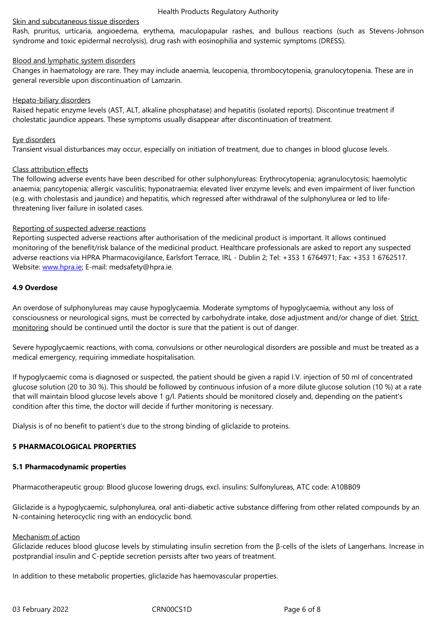syndrome and toxic epidermal necrolysis), drug rash with eosinophilia and systemic symptoms (DRESS).

#### Blood and lymphatic system disorders

Changes in haematology are rare. They may include anaemia, leucopenia, thrombocytopenia, granulocytopenia. These are in general reversible upon discontinuation of Lamzarin.

#### Hepato-biliary disorders

Raised hepatic enzyme levels (AST, ALT, alkaline phosphatase) and hepatitis (isolated reports). Discontinue treatment if cholestatic jaundice appears. These symptoms usually disappear after discontinuation of treatment.

#### Eye disorders

Transient visual disturbances may occur, especially on initiation of treatment, due to changes in blood glucose levels.

#### Class attribution effects

The following adverse events have been described for other sulphonylureas: Erythrocytopenia; agranulocytosis; haemolytic anaemia; pancytopenia; allergic vasculitis; hyponatraemia; elevated liver enzyme levels; and even impairment of liver function (e.g. with cholestasis and jaundice) and hepatitis, which regressed after withdrawal of the sulphonylurea or led to lifethreatening liver failure in isolated cases.

#### Reporting of suspected adverse reactions

Reporting suspected adverse reactions after authorisation of the medicinal product is important. It allows continued monitoring of the benefit/risk balance of the medicinal product. Healthcare professionals are asked to report any suspected adverse reactions via HPRA Pharmacovigilance, Earlsfort Terrace, IRL - Dublin 2; Tel: +353 1 6764971; Fax: +353 1 6762517. Website: www.hpra.ie; E-mail: medsafety@hpra.ie.

#### **4.9 Overdose**

An overd[ose of sulpho](http://www.hpra.ie/)nylureas may cause hypoglycaemia. Moderate symptoms of hypoglycaemia, without any loss of consciousness or neurological signs, must be corrected by carbohydrate intake, dose adjustment and/or change of diet. Strict monitoring should be continued until the doctor is sure that the patient is out of danger.

Severe hypoglycaemic reactions, with coma, convulsions or other neurological disorders are possible and must be treated as a medical emergency, requiring immediate hospitalisation.

If hypoglycaemic coma is diagnosed or suspected, the patient should be given a rapid I.V. injection of 50 ml of concentrated glucose solution (20 to 30 %). This should be followed by continuous infusion of a more dilute glucose solution (10 %) at a rate that will maintain blood glucose levels above 1 g/l. Patients should be monitored closely and, depending on the patient's condition after this time, the doctor will decide if further monitoring is necessary.

Dialysis is of no benefit to patient's due to the strong binding of gliclazide to proteins.

#### **5 PHARMACOLOGICAL PROPERTIES**

#### **5.1 Pharmacodynamic properties**

Pharmacotherapeutic group: Blood glucose lowering drugs, excl. insulins: Sulfonylureas, ATC code: A10BB09

Gliclazide is a hypoglycaemic, sulphonylurea, oral anti-diabetic active substance differing from other related compounds by an N-containing heterocyclic ring with an endocyclic bond.

#### Mechanism of action

Gliclazide reduces blood glucose levels by stimulating insulin secretion from the β-cells of the islets of Langerhans. Increase in postprandial insulin and C-peptide secretion persists after two years of treatment.

In addition to these metabolic properties, gliclazide has haemovascular properties.

03 February 2022 CRN00CS1D CRNOCS1D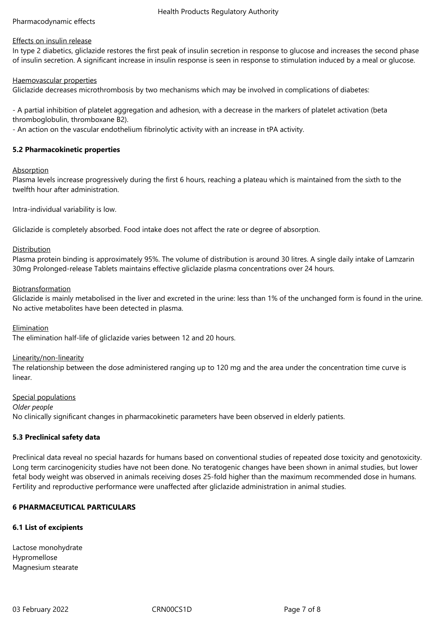#### Health Products Regulatory Authority

#### Pharmacodynamic effects

#### Effects on insulin release

In type 2 diabetics, gliclazide restores the first peak of insulin secretion in response to glucose and increases the second phase of insulin secretion. A significant increase in insulin response is seen in response to stimulation induced by a meal or glucose.

Haemovascular properties

Gliclazide decreases microthrombosis by two mechanisms which may be involved in complications of diabetes:

- A partial inhibition of platelet aggregation and adhesion, with a decrease in the markers of platelet activation (beta thromboglobulin, thromboxane B2).

- An action on the vascular endothelium fibrinolytic activity with an increase in tPA activity.

#### **5.2 Pharmacokinetic properties**

#### Absorption

Plasma levels increase progressively during the first 6 hours, reaching a plateau which is maintained from the sixth to the twelfth hour after administration.

Intra-individual variability is low.

Gliclazide is completely absorbed. Food intake does not affect the rate or degree of absorption.

#### Distribution

Plasma protein binding is approximately 95%. The volume of distribution is around 30 litres. A single daily intake of Lamzarin 30mg Prolonged-release Tablets maintains effective gliclazide plasma concentrations over 24 hours.

#### Biotransformation

Gliclazide is mainly metabolised in the liver and excreted in the urine: less than 1% of the unchanged form is found in the urine. No active metabolites have been detected in plasma.

#### Elimination

The elimination half-life of gliclazide varies between 12 and 20 hours.

#### Linearity/non-linearity

The relationship between the dose administered ranging up to 120 mg and the area under the concentration time curve is linear.

Special populations

*Older people*

No clinically significant changes in pharmacokinetic parameters have been observed in elderly patients.

#### **5.3 Preclinical safety data**

Preclinical data reveal no special hazards for humans based on conventional studies of repeated dose toxicity and genotoxicity. Long term carcinogenicity studies have not been done. No teratogenic changes have been shown in animal studies, but lower fetal body weight was observed in animals receiving doses 25-fold higher than the maximum recommended dose in humans. Fertility and reproductive performance were unaffected after gliclazide administration in animal studies.

#### **6 PHARMACEUTICAL PARTICULARS**

#### **6.1 List of excipients**

Lactose monohydrate Hypromellose Magnesium stearate